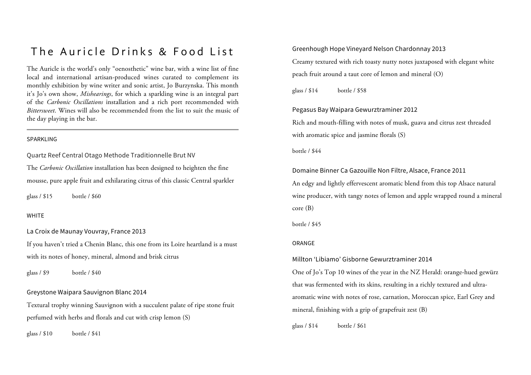# The Auricle Drinks & Food List

The Auricle is the world's only "oenosthetic" wine bar, with a wine list of fine local and international artisan-produced wines curated to complement its monthly exhibition by wine writer and sonic artist, Jo Burzynska. This month it's Jo's own show, *Mishearings*, for which a sparkling wine is an integral part of the *Carbonic Oscillations* installation and a rich port recommended with *Bittersweet*. Wines will also be recommended from the list to suit the music of the day playing in the bar.

#### SPARKLING

Quartz Reef Central Otago Methode Traditionnelle Brut NV

The *Carbonic Oscillation* installation has been designed to heighten the fine mousse, pure apple fruit and exhilarating citrus of this classic Central sparkler

glass / \$15 bottle / \$60

#### WHITE

La Croix de Maunay Vouvray, France 2013

If you haven't tried a Chenin Blanc, this one from its Loire heartland is a must with its notes of honey, mineral, almond and brisk citrus

glass / \$9 bottle / \$40

Greystone Waipara Sauvignon Blanc 2014

Textural trophy winning Sauvignon with a succulent palate of ripe stone fruit perfumed with herbs and florals and cut with crisp lemon (S)

glass / \$10 bottle / \$41

Greenhough Hope Vineyard Nelson Chardonnay 2013

Creamy textured with rich toasty nutty notes juxtaposed with elegant white peach fruit around a taut core of lemon and mineral (O)

glass / \$14 bottle / \$58

## Pegasus Bay Waipara Gewurztraminer 2012

Rich and mouth-filling with notes of musk, guava and citrus zest threaded with aromatic spice and jasmine florals (S)

bottle / \$44

Domaine Binner Ca Gazouille Non Filtre, Alsace, France 2011

An edgy and lightly effervescent aromatic blend from this top Alsace natural wine producer, with tangy notes of lemon and apple wrapped round a mineral core (B)

bottle / \$45

#### ORANGE

#### Millton 'Libiamo' Gisborne Gewurztraminer 2014

One of Jo's Top 10 wines of the year in the NZ Herald: orange-hued gewürz that was fermented with its skins, resulting in a richly textured and ultraaromatic wine with notes of rose, carnation, Moroccan spice, Earl Grey and mineral, finishing with a grip of grapefruit zest (B)

glass / \$14 bottle / \$61